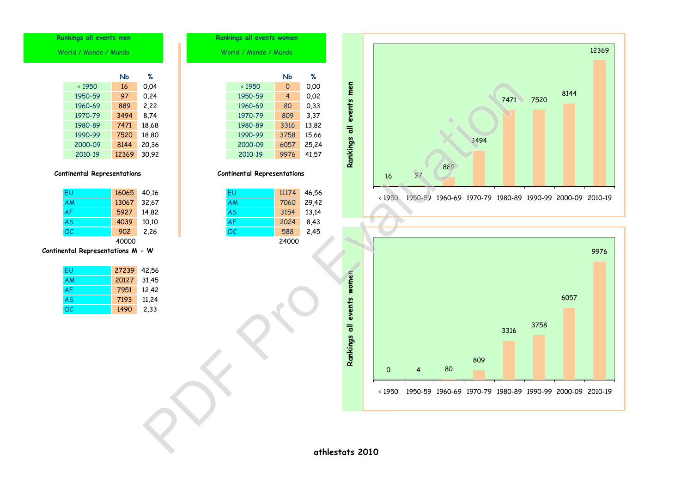|       | Rankings all events women          |                     |       |                 |                           |               |    |     |      |      |      |                                                         |       |
|-------|------------------------------------|---------------------|-------|-----------------|---------------------------|---------------|----|-----|------|------|------|---------------------------------------------------------|-------|
|       | World / Monde / Mundo              |                     |       |                 |                           |               |    |     |      |      |      |                                                         | 12369 |
|       |                                    |                     |       |                 |                           |               |    |     |      |      |      |                                                         |       |
| %     |                                    | <b>Nb</b>           | %     |                 |                           |               |    |     |      |      |      |                                                         |       |
| 0,04  | $\cdot$ 1950                       | $\mathsf{O}\xspace$ | 0,00  |                 |                           |               |    |     |      |      |      |                                                         |       |
| 0,24  | 1950-59                            | 4                   | 0,02  |                 | Rankings all events men   |               |    |     |      |      |      | 8144                                                    |       |
| 2,22  | 1960-69                            | 80                  | 0,33  |                 |                           |               |    |     |      | 7471 | 7520 |                                                         |       |
| 8,74  | 1970-79                            | 809                 | 3,37  |                 |                           |               |    |     |      |      |      |                                                         |       |
| 18,68 | 1980-89                            | 3316                | 13,82 |                 |                           |               |    |     |      |      |      |                                                         |       |
| 18,80 | 1990-99                            | 3758                | 15,66 |                 |                           |               |    |     |      |      |      |                                                         |       |
| 20,36 | 2000-09                            | 6057                | 25,24 |                 |                           |               |    |     | 3494 |      |      |                                                         |       |
| 30,92 | 2010-19                            | 9976                | 41,57 |                 |                           |               |    |     |      |      |      |                                                         |       |
|       |                                    |                     |       |                 |                           |               |    | 889 |      |      |      |                                                         |       |
|       | <b>Continental Representations</b> |                     |       |                 |                           | 16            | 97 |     |      |      |      |                                                         |       |
|       |                                    |                     |       |                 |                           |               |    |     |      |      |      |                                                         |       |
| 40,16 | EU                                 | 11174               | 46,56 |                 |                           |               |    |     |      |      |      |                                                         |       |
| 32,67 | AM                                 | 7060                | 29,42 |                 |                           | $\times 1950$ |    |     |      |      |      | 1950-59 1960-69 1970-79 1980-89 1990-99 2000-09 2010-19 |       |
| 14,82 | <b>AS</b>                          | 3154                | 13,14 |                 |                           |               |    |     |      |      |      |                                                         |       |
| 10,10 | <b>AF</b>                          | 2024                | 8,43  |                 |                           |               |    |     |      |      |      |                                                         |       |
| 2,26  | OC                                 | 588                 | 2,45  |                 |                           |               |    |     |      |      |      |                                                         |       |
|       |                                    | 24000               |       |                 |                           |               |    |     |      |      |      |                                                         |       |
| . W   |                                    |                     |       |                 |                           |               |    |     |      |      |      |                                                         | 9976  |
|       |                                    |                     |       |                 |                           |               |    |     |      |      |      |                                                         |       |
| 42,56 |                                    |                     |       |                 |                           |               |    |     |      |      |      |                                                         |       |
| 31,45 |                                    |                     |       |                 |                           |               |    |     |      |      |      |                                                         |       |
| 12,42 |                                    |                     |       |                 |                           |               |    |     |      |      |      |                                                         |       |
| 11,24 |                                    |                     |       |                 | Rankings all events women |               |    |     |      |      |      | 6057                                                    |       |
| 2,33  |                                    |                     |       |                 |                           |               |    |     |      |      |      |                                                         |       |
|       |                                    |                     |       |                 |                           |               |    |     |      |      | 3758 |                                                         |       |
|       |                                    |                     |       |                 |                           |               |    |     |      | 3316 |      |                                                         |       |
|       |                                    |                     |       |                 |                           |               |    |     |      |      |      |                                                         |       |
|       |                                    |                     |       |                 |                           |               |    |     |      |      |      |                                                         |       |
|       |                                    |                     |       |                 |                           |               |    |     | 809  |      |      |                                                         |       |
|       |                                    |                     |       |                 |                           | 0             | 4  | 80  |      |      |      |                                                         |       |
|       |                                    |                     |       |                 |                           |               |    |     |      |      |      |                                                         |       |
|       |                                    |                     |       |                 |                           | $\cdot$ 1950  |    |     |      |      |      | 1950-59 1960-69 1970-79 1980-89 1990-99 2000-09 2010-19 |       |
|       |                                    |                     |       |                 |                           |               |    |     |      |      |      |                                                         |       |
|       |                                    |                     |       |                 |                           |               |    |     |      |      |      |                                                         |       |
|       |                                    |                     |       |                 |                           |               |    |     |      |      |      |                                                         |       |
|       |                                    |                     |       |                 |                           |               |    |     |      |      |      |                                                         |       |
|       |                                    |                     |       |                 |                           |               |    |     |      |      |      |                                                         |       |
|       |                                    |                     |       | athlestats 2010 |                           |               |    |     |      |      |      |                                                         |       |

1950-59 97 0,24 1960-69 889 2,22 1970-79 3494 8,74 1980-89 7471 18,68 1990-99 7520 18,80 **Rankings all events men Rankings all events** World / Monde / Mundo World / Monde / Mundo World / Monde / Mundo World / Monde / Mundo World / Monde / Mundo

2000-09 8144 20,36 2010-19 12369 30,92

## **Continental Representations Continental Representations**

| <b>EU</b> | 16065 | 40,16 | EU        | 11174 |
|-----------|-------|-------|-----------|-------|
| <b>AM</b> | 13067 | 32,67 | AM        | 7060  |
| <b>AF</b> | 5927  | 14,82 | <b>AS</b> | 3154  |
| <b>AS</b> | 4039  | 10,10 | <b>AF</b> | 2024  |
| OC        | 902   | 2,26  | OC        | 588   |
|           | 40000 |       |           | 24000 |

## **Continental Representations M - W**

| FU        | 27239 | 42,56 |
|-----------|-------|-------|
| AM        | 20127 | 31,45 |
| <b>AF</b> | 7951  | 12,42 |
| AS        | 7193  | 11,24 |
| OC.       | 1490  | 2,33  |

|            | NЬ    | %     | NЬ                          |
|------------|-------|-------|-----------------------------|
| ← 1950     | 16    | 0.04  | $\mathbf 0$<br>$\cdot$ 1950 |
| 950-59     | 97    | 0.24  | 1950-59<br>4                |
| 960-69     | 889   | 2,22  | 1960-69<br>80               |
| 970-79     | 3494  | 8,74  | 809<br>1970-79              |
| 980-89     | 7471  | 18,68 | 1980-89<br>3316             |
| 990-99     | 7520  | 18,80 | 3758<br>1990-99             |
| $000 - 09$ | 8144  | 20,36 | 6057<br>2000-09             |
| 2010-19    | 12369 | 30,92 | 2010-19<br>9976             |

| EU | 16065 40.16 |            | EU        | 11174 | 46.56 |
|----|-------------|------------|-----------|-------|-------|
| АM | 13067 32,67 |            | AM        | 7060  | 29,42 |
| AF |             | 5927 14,82 | <b>AS</b> | 3154  | 13.14 |
| AS | 4039        | 10.10      | AF        | 2024  | 8.43  |
| ОC | 902         | 2.26       | OC        | 588   | 2.45  |
|    | $\cdots$    |            |           | ----- |       |